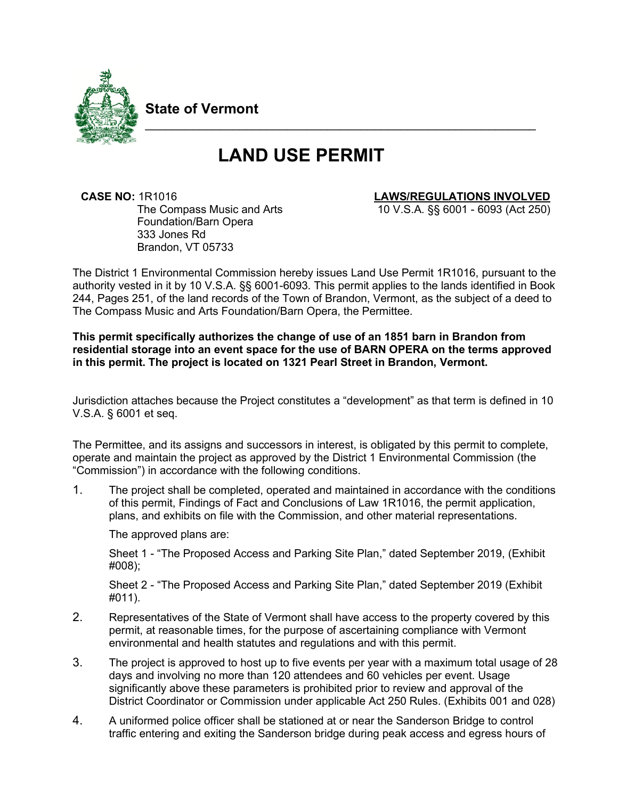

**State of Vermont**

# **LAND USE PERMIT**

\_\_\_\_\_\_\_\_\_\_\_\_\_\_\_\_\_\_\_\_\_\_\_\_\_\_\_\_\_\_\_\_\_\_\_\_\_\_\_\_\_\_\_\_\_\_\_\_\_\_\_\_\_\_\_\_\_\_

 **CASE NO:** 1R1016 **LAWS/REGULATIONS INVOLVED** The Compass Music and Arts Foundation/Barn Opera 333 Jones Rd Brandon, VT 05733

10 V.S.A. §§ 6001 - 6093 (Act 250)

The District 1 Environmental Commission hereby issues Land Use Permit 1R1016, pursuant to the authority vested in it by 10 V.S.A. §§ 6001-6093. This permit applies to the lands identified in Book 244, Pages 251, of the land records of the Town of Brandon, Vermont, as the subject of a deed to The Compass Music and Arts Foundation/Barn Opera, the Permittee.

## **This permit specifically authorizes the change of use of an 1851 barn in Brandon from residential storage into an event space for the use of BARN OPERA on the terms approved in this permit. The project is located on 1321 Pearl Street in Brandon, Vermont.**

Jurisdiction attaches because the Project constitutes a "development" as that term is defined in 10 V.S.A. § 6001 et seq.

The Permittee, and its assigns and successors in interest, is obligated by this permit to complete, operate and maintain the project as approved by the District 1 Environmental Commission (the "Commission") in accordance with the following conditions.

1. The project shall be completed, operated and maintained in accordance with the conditions of this permit, Findings of Fact and Conclusions of Law 1R1016, the permit application, plans, and exhibits on file with the Commission, and other material representations.

The approved plans are:

Sheet 1 - "The Proposed Access and Parking Site Plan," dated September 2019, (Exhibit #008);

Sheet 2 - "The Proposed Access and Parking Site Plan," dated September 2019 (Exhibit #011).

- 2. Representatives of the State of Vermont shall have access to the property covered by this permit, at reasonable times, for the purpose of ascertaining compliance with Vermont environmental and health statutes and regulations and with this permit.
- 3. The project is approved to host up to five events per year with a maximum total usage of 28 days and involving no more than 120 attendees and 60 vehicles per event. Usage significantly above these parameters is prohibited prior to review and approval of the District Coordinator or Commission under applicable Act 250 Rules. (Exhibits 001 and 028)
- 4. A uniformed police officer shall be stationed at or near the Sanderson Bridge to control traffic entering and exiting the Sanderson bridge during peak access and egress hours of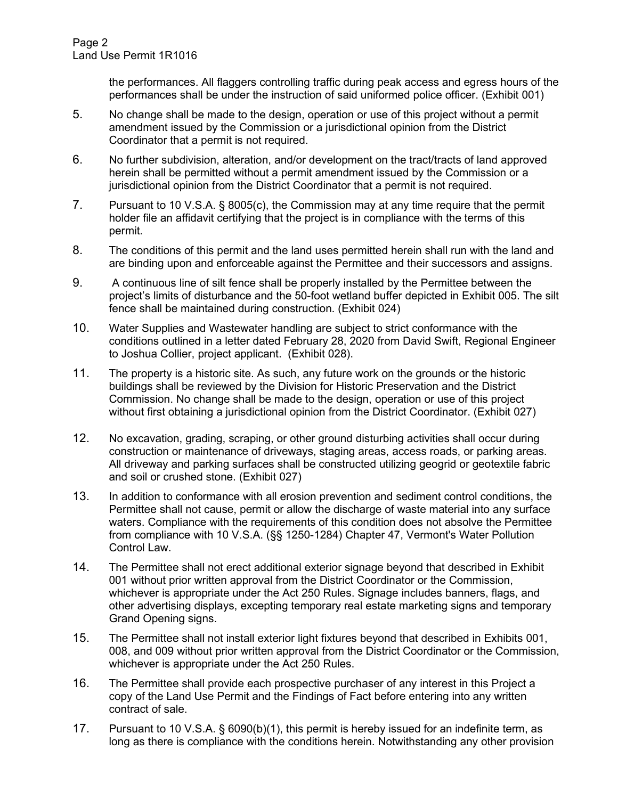the performances. All flaggers controlling traffic during peak access and egress hours of the performances shall be under the instruction of said uniformed police officer. (Exhibit 001)

- 5. No change shall be made to the design, operation or use of this project without a permit amendment issued by the Commission or a jurisdictional opinion from the District Coordinator that a permit is not required.
- 6. No further subdivision, alteration, and/or development on the tract/tracts of land approved herein shall be permitted without a permit amendment issued by the Commission or a jurisdictional opinion from the District Coordinator that a permit is not required.
- 7. Pursuant to 10 V.S.A. § 8005(c), the Commission may at any time require that the permit holder file an affidavit certifying that the project is in compliance with the terms of this permit.
- 8. The conditions of this permit and the land uses permitted herein shall run with the land and are binding upon and enforceable against the Permittee and their successors and assigns.
- 9. A continuous line of silt fence shall be properly installed by the Permittee between the project's limits of disturbance and the 50-foot wetland buffer depicted in Exhibit 005. The silt fence shall be maintained during construction. (Exhibit 024)
- 10. Water Supplies and Wastewater handling are subject to strict conformance with the conditions outlined in a letter dated February 28, 2020 from David Swift, Regional Engineer to Joshua Collier, project applicant. (Exhibit 028).
- 11. The property is a historic site. As such, any future work on the grounds or the historic buildings shall be reviewed by the Division for Historic Preservation and the District Commission. No change shall be made to the design, operation or use of this project without first obtaining a jurisdictional opinion from the District Coordinator. (Exhibit 027)
- 12. No excavation, grading, scraping, or other ground disturbing activities shall occur during construction or maintenance of driveways, staging areas, access roads, or parking areas. All driveway and parking surfaces shall be constructed utilizing geogrid or geotextile fabric and soil or crushed stone. (Exhibit 027)
- 13. In addition to conformance with all erosion prevention and sediment control conditions, the Permittee shall not cause, permit or allow the discharge of waste material into any surface waters. Compliance with the requirements of this condition does not absolve the Permittee from compliance with 10 V.S.A. (§§ 1250-1284) Chapter 47, Vermont's Water Pollution Control Law.
- 14. The Permittee shall not erect additional exterior signage beyond that described in Exhibit 001 without prior written approval from the District Coordinator or the Commission, whichever is appropriate under the Act 250 Rules. Signage includes banners, flags, and other advertising displays, excepting temporary real estate marketing signs and temporary Grand Opening signs.
- 15. The Permittee shall not install exterior light fixtures beyond that described in Exhibits 001, 008, and 009 without prior written approval from the District Coordinator or the Commission, whichever is appropriate under the Act 250 Rules.
- 16. The Permittee shall provide each prospective purchaser of any interest in this Project a copy of the Land Use Permit and the Findings of Fact before entering into any written contract of sale.
- 17. Pursuant to 10 V.S.A. § 6090(b)(1), this permit is hereby issued for an indefinite term, as long as there is compliance with the conditions herein. Notwithstanding any other provision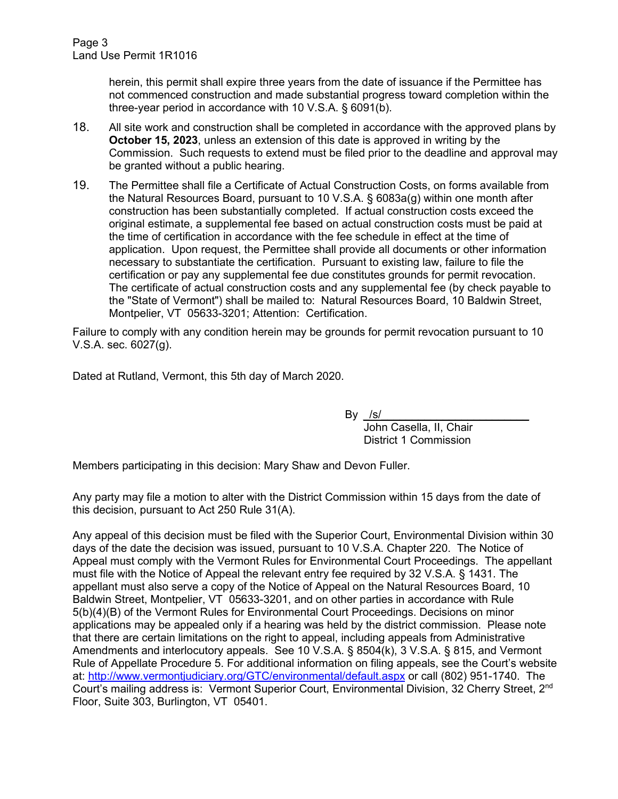Page 3 Land Use Permit 1R1016

> herein, this permit shall expire three years from the date of issuance if the Permittee has not commenced construction and made substantial progress toward completion within the three-year period in accordance with 10 V.S.A. § 6091(b).

- 18. All site work and construction shall be completed in accordance with the approved plans by **October 15, 2023**, unless an extension of this date is approved in writing by the Commission. Such requests to extend must be filed prior to the deadline and approval may be granted without a public hearing.
- 19. The Permittee shall file a Certificate of Actual Construction Costs, on forms available from the Natural Resources Board, pursuant to 10 V.S.A. § 6083a(g) within one month after construction has been substantially completed. If actual construction costs exceed the original estimate, a supplemental fee based on actual construction costs must be paid at the time of certification in accordance with the fee schedule in effect at the time of application. Upon request, the Permittee shall provide all documents or other information necessary to substantiate the certification. Pursuant to existing law, failure to file the certification or pay any supplemental fee due constitutes grounds for permit revocation. The certificate of actual construction costs and any supplemental fee (by check payable to the "State of Vermont") shall be mailed to: Natural Resources Board, 10 Baldwin Street, Montpelier, VT 05633-3201; Attention: Certification.

Failure to comply with any condition herein may be grounds for permit revocation pursuant to 10 V.S.A. sec. 6027(g).

Dated at Rutland, Vermont, this 5th day of March 2020.

By  $/s/$ 

 John Casella, II, Chair District 1 Commission

Members participating in this decision: Mary Shaw and Devon Fuller.

Any party may file a motion to alter with the District Commission within 15 days from the date of this decision, pursuant to Act 250 Rule 31(A).

Any appeal of this decision must be filed with the Superior Court, Environmental Division within 30 days of the date the decision was issued, pursuant to 10 V.S.A. Chapter 220. The Notice of Appeal must comply with the Vermont Rules for Environmental Court Proceedings. The appellant must file with the Notice of Appeal the relevant entry fee required by 32 V.S.A. § 1431. The appellant must also serve a copy of the Notice of Appeal on the Natural Resources Board, 10 Baldwin Street, Montpelier, VT 05633-3201, and on other parties in accordance with Rule 5(b)(4)(B) of the Vermont Rules for Environmental Court Proceedings. Decisions on minor applications may be appealed only if a hearing was held by the district commission. Please note that there are certain limitations on the right to appeal, including appeals from Administrative Amendments and interlocutory appeals. See 10 V.S.A. § 8504(k), 3 V.S.A. § 815, and Vermont Rule of Appellate Procedure 5. For additional information on filing appeals, see the Court's website at:<http://www.vermontjudiciary.org/GTC/environmental/default.aspx> or call (802) 951-1740. The Court's mailing address is: Vermont Superior Court, Environmental Division, 32 Cherry Street, 2nd Floor, Suite 303, Burlington, VT 05401.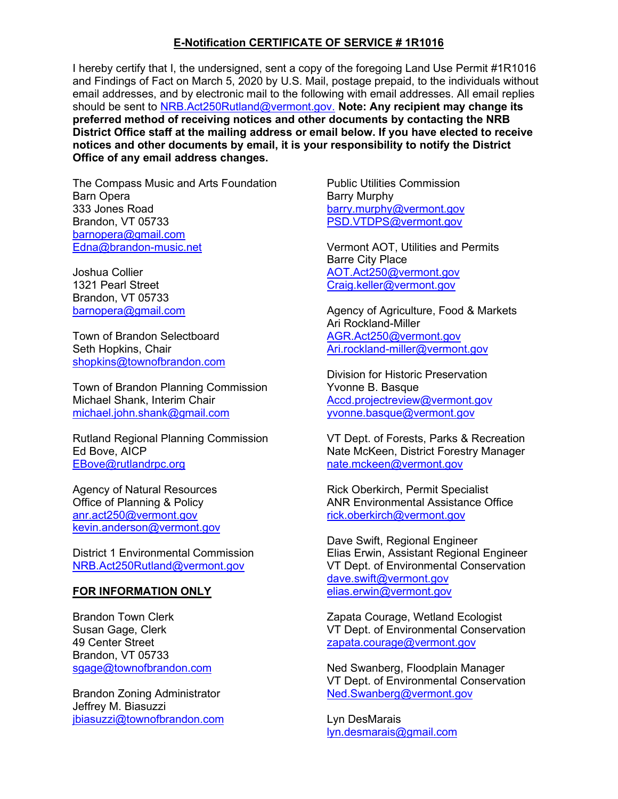## **E-Notification CERTIFICATE OF SERVICE # 1R1016**

I hereby certify that I, the undersigned, sent a copy of the foregoing Land Use Permit #1R1016 and Findings of Fact on March 5, 2020 by U.S. Mail, postage prepaid, to the individuals without email addresses, and by electronic mail to the following with email addresses. All email replies should be sent to [NRB.Act250Rutland@vermont.gov.](mailto:NRB.Act250Rutland@vermont.gov.) **Note: Any recipient may change its preferred method of receiving notices and other documents by contacting the NRB District Office staff at the mailing address or email below. If you have elected to receive notices and other documents by email, it is your responsibility to notify the District Office of any email address changes.**

The Compass Music and Arts Foundation Barn Opera 333 Jones Road Brandon, VT 05733 [barnopera@gmail.com](mailto:barnopera@gmail.com) [Edna@brandon-music.net](mailto:Edna@brandon-music.net)

Joshua Collier 1321 Pearl Street Brandon, VT 05733 [barnopera@gmail.com](mailto:barnopera@gmail.com)

Town of Brandon Selectboard Seth Hopkins, Chair [shopkins@townofbrandon.com](mailto:shopkins@townofbrandon.com)

Town of Brandon Planning Commission Michael Shank, Interim Chair [michael.john.shank@gmail.com](mailto:michael.john.shank@gmail.com)

Rutland Regional Planning Commission Ed Bove, AICP [EBove@rutlandrpc.org](mailto:EBove@rutlandrpc.org)

Agency of Natural Resources Office of Planning & Policy anr.act250@vermont.gov [kevin.anderson@vermont.gov](mailto:kevin.anderson@vermont.gov)

District 1 Environmental Commission [NRB.Act250Rutland@vermont.gov](mailto:NRB.Act250Rutland@vermont.gov)

### **FOR INFORMATION ONLY**

Brandon Town Clerk Susan Gage, Clerk 49 Center Street Brandon, VT 05733 [sgage@townofbrandon.com](mailto:sgage@townofbrandon.com)

Brandon Zoning Administrator Jeffrey M. Biasuzzi [jbiasuzzi@townofbrandon.com](mailto:jbiasuzzi@townofbrandon.com) Public Utilities Commission Barry Murphy barry.murphy@vermont.gov [PSD.VTDPS@vermont.gov](mailto:PSD.VTDPS@vermont.gov)

Vermont AOT, Utilities and Permits Barre City Place [AOT.Act250@vermont.gov](mailto:AOT.Act250@vermont.gov) [Craig.keller@vermont.gov](mailto:Craig.keller@vermont.gov)

Agency of Agriculture, Food & Markets Ari Rockland-Miller [AGR.Act250@v](mailto:AGR.Act250@)ermont.gov [Ari.rockland-miller@vermont.gov](mailto:Ari.rockland-miller@vermont.gov)

Division for Historic Preservation Yvonne B. Basque [Accd.projectreview@vermont.gov](mailto:Accd.projectreview@vermont.gov) [yvonne.basque@vermont.gov](mailto:yvonne.basque@vermont.gov)

VT Dept. of Forests, Parks & Recreation Nate McKeen, District Forestry Manager [nate.mckeen@v](mailto:nate.mckeen@)ermont.gov

Rick Oberkirch, Permit Specialist ANR Environmental Assistance Office [rick.oberkirch@vermont.gov](mailto:rick.oberkirch@vermont.gov)

Dave Swift, Regional Engineer Elias Erwin, Assistant Regional Engineer VT Dept. of Environmental Conservation [dave.swift@vermont.gov](mailto:dave.swift@vermont.gov) [elias.erwin@vermont.gov](mailto:elias.erwin@vermont.gov)

Zapata Courage, Wetland Ecologist VT Dept. of Environmental Conservation [zapata.courage@vermont.gov](mailto:zapata.courage@vermont.gov)

Ned Swanberg, Floodplain Manager VT Dept. of Environmental Conservation [Ned.Swanberg@vermont.gov](mailto:Ned.Swanberg@vermont.gov)

Lyn DesMarais [lyn.desmarais@gmail.com](mailto:lyn.desmarais@gmail.com)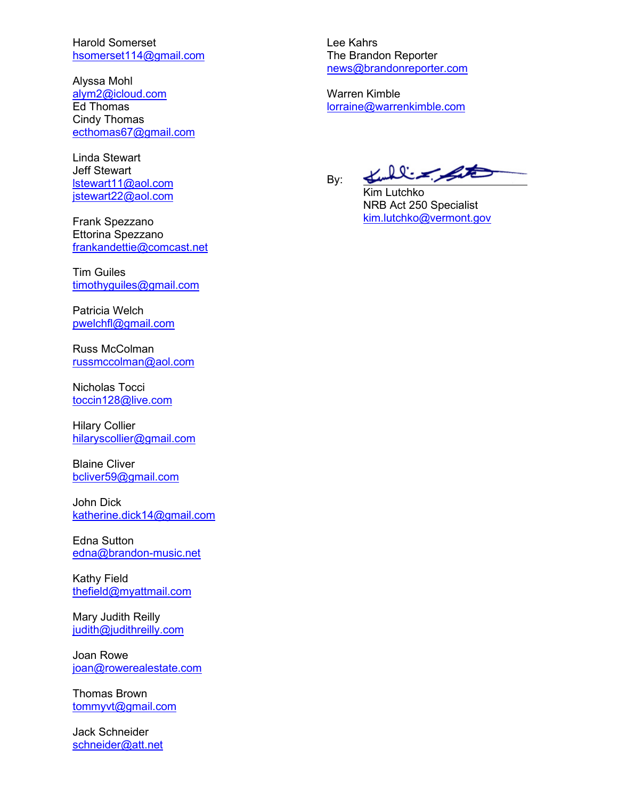Harold Somerset [hsomerset114@gmail.com](mailto:hsomerset114@gmail.com)

Alyssa Mohl [alym2@icloud.com](mailto:alym2@icloud.com) Ed Thomas Cindy Thomas [ecthomas67@gmail.com](mailto:ecthomas67@gmail.com)

Linda Stewart Jeff Stewart [lstewart11@aol.com](mailto:lstewart11@aol.com) [jstewart22@aol.com](mailto:jstewart22@aol.com)

Frank Spezzano Ettorina Spezzano [frankandettie@comcast.net](mailto:frankandettie@comcast.net)

Tim Guiles [timothyguiles@gmail.com](mailto:timothyguiles@gmail.com)

Patricia Welch [pwelchfl@gmail.com](mailto:pwelchfl@gmail.com)

Russ McColman [russmccolman@aol.com](mailto:russmccolman@aol.com)

Nicholas Tocci [toccin128@live.com](mailto:toccin128@live.com)

Hilary Collier [hilaryscollier@gmail.com](mailto:hilaryscollier@gmail.com)

Blaine Cliver [bcliver59@gmail.com](mailto:bcliver59@gmail.com)

John Dick [katherine.dick14@gmail.com](mailto:katherine.dick14@gmail.com)

Edna Sutton [edna@brandon-music.net](mailto:edna@brandon-music.net)

Kathy Field [thefield@myattmail.com](mailto:thefield@myattmail.com)

Mary Judith Reilly [judith@judithreilly.com](mailto:judith@judithreilly.com)

Joan Rowe [joan@rowerealestate.com](mailto:joan@rowerealestate.com)

Thomas Brown [tommyvt@gmail.com](mailto:tommyvt@gmail.com)

Jack Schneider [schneider@att.net](mailto:schneider@att.net) Lee Kahrs The Brandon Reporter [news@brandonreporter.com](mailto:news@brandonreporter.com)

Warren Kimble [lorraine@warrenkimble.com](mailto:lorraine@warrenkimble.com)

By:

Kulliz Site

Kim Lutchko NRB Act 250 Specialist [kim.lutchko@vermont.gov](mailto:kim.lutchko@vermont.gov)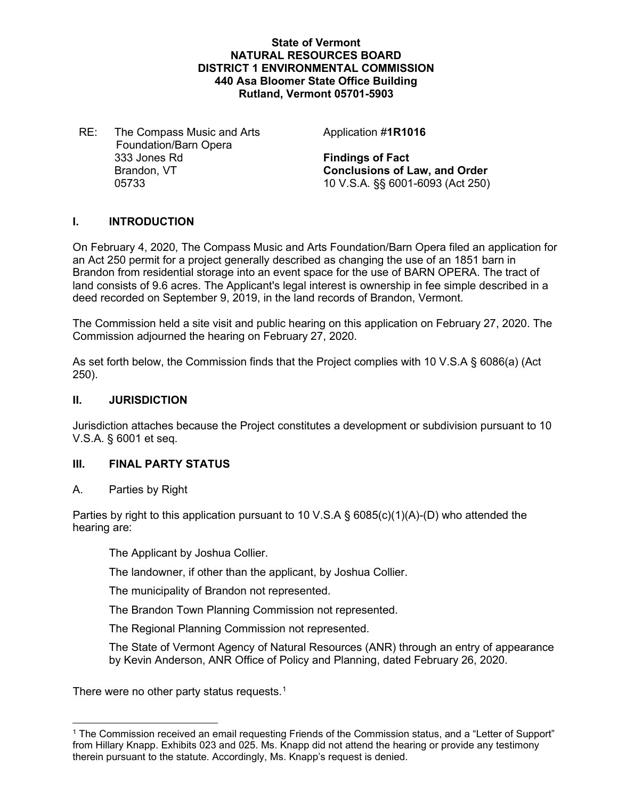## **State of Vermont NATURAL RESOURCES BOARD DISTRICT 1 ENVIRONMENTAL COMMISSION 440 Asa Bloomer State Office Building Rutland, Vermont 05701-5903**

RE: The Compass Music and Arts Foundation/Barn Opera 333 Jones Rd **Findings of Fact**

Application #**1R1016**

Brandon, VT **Conclusions of Law, and Order** 05733 10 V.S.A. §§ 6001-6093 (Act 250)

## **I. INTRODUCTION**

On February 4, 2020, The Compass Music and Arts Foundation/Barn Opera filed an application for an Act 250 permit for a project generally described as changing the use of an 1851 barn in Brandon from residential storage into an event space for the use of BARN OPERA. The tract of land consists of 9.6 acres. The Applicant's legal interest is ownership in fee simple described in a deed recorded on September 9, 2019, in the land records of Brandon, Vermont.

The Commission held a site visit and public hearing on this application on February 27, 2020. The Commission adjourned the hearing on February 27, 2020.

As set forth below, the Commission finds that the Project complies with 10 V.S.A § 6086(a) (Act 250).

## **II. JURISDICTION**

Jurisdiction attaches because the Project constitutes a development or subdivision pursuant to 10 V.S.A. § 6001 et seq.

## **III. FINAL PARTY STATUS**

A. Parties by Right

Parties by right to this application pursuant to 10 V.S.A § 6085(c)(1)(A)-(D) who attended the hearing are:

The Applicant by Joshua Collier.

The landowner, if other than the applicant, by Joshua Collier.

The municipality of Brandon not represented.

The Brandon Town Planning Commission not represented.

The Regional Planning Commission not represented.

The State of Vermont Agency of Natural Resources (ANR) through an entry of appearance by Kevin Anderson, ANR Office of Policy and Planning, dated February 26, 2020.

There were no other party status requests.<sup>[1](#page-5-0)</sup>

<span id="page-5-0"></span><sup>1</sup> The Commission received an email requesting Friends of the Commission status, and a "Letter of Support" from Hillary Knapp. Exhibits 023 and 025. Ms. Knapp did not attend the hearing or provide any testimony therein pursuant to the statute. Accordingly, Ms. Knapp's request is denied.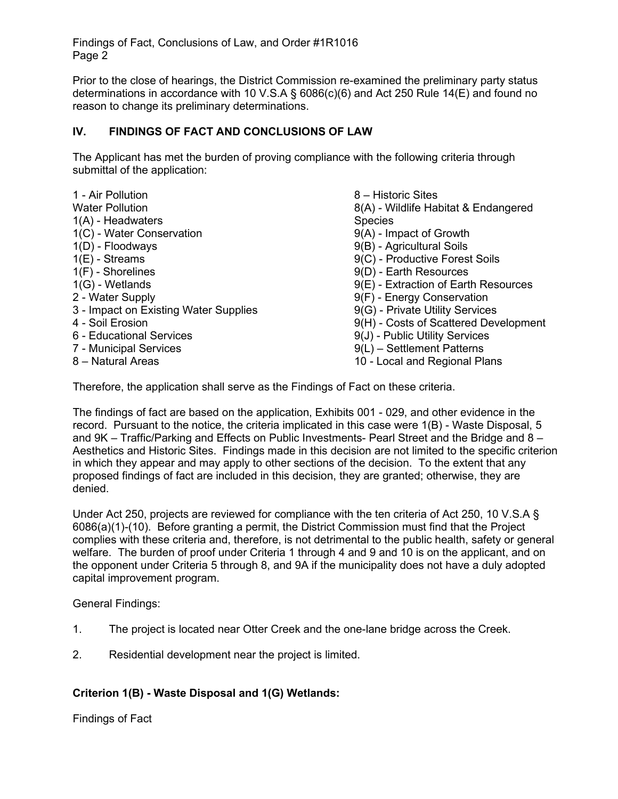Prior to the close of hearings, the District Commission re-examined the preliminary party status determinations in accordance with 10 V.S.A § 6086(c)(6) and Act 250 Rule 14(E) and found no reason to change its preliminary determinations.

## **IV. FINDINGS OF FACT AND CONCLUSIONS OF LAW**

The Applicant has met the burden of proving compliance with the following criteria through submittal of the application:

| 1 - Air Pollution                     | 8 - Historic Sites                    |
|---------------------------------------|---------------------------------------|
| <b>Water Pollution</b>                | 8(A) - Wildlife Habitat & Endangered  |
| $1(A)$ - Headwaters                   | <b>Species</b>                        |
| 1(C) - Water Conservation             | 9(A) - Impact of Growth               |
| $1(D)$ - Floodways                    | 9(B) - Agricultural Soils             |
| $1(E)$ - Streams                      | 9(C) - Productive Forest Soils        |
| $1(F)$ - Shorelines                   | 9(D) - Earth Resources                |
| $1(G)$ - Wetlands                     | 9(E) - Extraction of Earth Resources  |
| 2 - Water Supply                      | 9(F) - Energy Conservation            |
| 3 - Impact on Existing Water Supplies | 9(G) - Private Utility Services       |
| 4 - Soil Erosion                      | 9(H) - Costs of Scattered Development |
| 6 - Educational Services              | 9(J) - Public Utility Services        |
| 7 - Municipal Services                | 9(L) - Settlement Patterns            |
| 8 - Natural Areas                     | 10 - Local and Regional Plans         |

Therefore, the application shall serve as the Findings of Fact on these criteria.

The findings of fact are based on the application, Exhibits 001 - 029, and other evidence in the record. Pursuant to the notice, the criteria implicated in this case were 1(B) - Waste Disposal, 5 and 9K – Traffic/Parking and Effects on Public Investments- Pearl Street and the Bridge and 8 – Aesthetics and Historic Sites. Findings made in this decision are not limited to the specific criterion in which they appear and may apply to other sections of the decision. To the extent that any proposed findings of fact are included in this decision, they are granted; otherwise, they are denied.

Under Act 250, projects are reviewed for compliance with the ten criteria of Act 250, 10 V.S.A § 6086(a)(1)-(10). Before granting a permit, the District Commission must find that the Project complies with these criteria and, therefore, is not detrimental to the public health, safety or general welfare. The burden of proof under Criteria 1 through 4 and 9 and 10 is on the applicant, and on the opponent under Criteria 5 through 8, and 9A if the municipality does not have a duly adopted capital improvement program.

General Findings:

- 1. The project is located near Otter Creek and the one-lane bridge across the Creek.
- 2. Residential development near the project is limited.

# **Criterion 1(B) - Waste Disposal and 1(G) Wetlands:**

Findings of Fact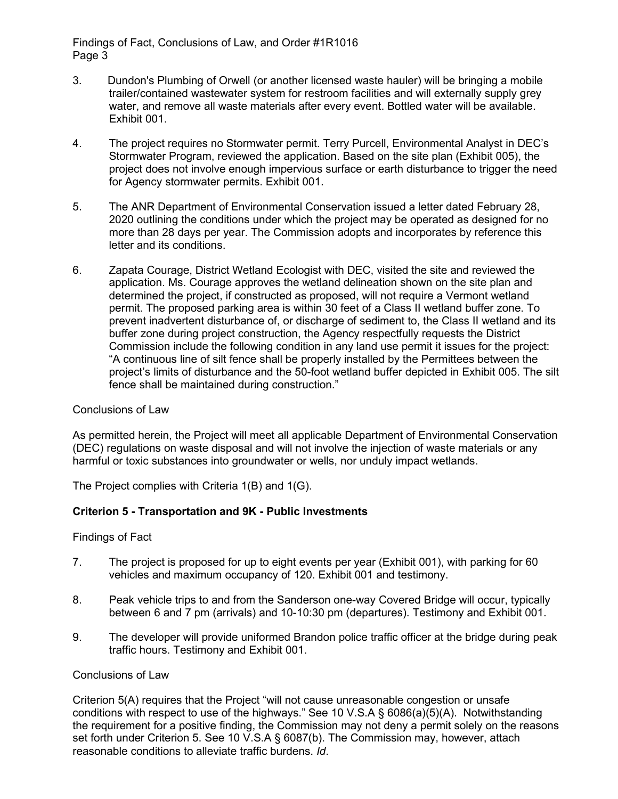- 3. Dundon's Plumbing of Orwell (or another licensed waste hauler) will be bringing a mobile trailer/contained wastewater system for restroom facilities and will externally supply grey water, and remove all waste materials after every event. Bottled water will be available. Exhibit 001.
- 4. The project requires no Stormwater permit. Terry Purcell, Environmental Analyst in DEC's Stormwater Program, reviewed the application. Based on the site plan (Exhibit 005), the project does not involve enough impervious surface or earth disturbance to trigger the need for Agency stormwater permits. Exhibit 001.
- 5. The ANR Department of Environmental Conservation issued a letter dated February 28, 2020 outlining the conditions under which the project may be operated as designed for no more than 28 days per year. The Commission adopts and incorporates by reference this letter and its conditions.
- 6. Zapata Courage, District Wetland Ecologist with DEC, visited the site and reviewed the application. Ms. Courage approves the wetland delineation shown on the site plan and determined the project, if constructed as proposed, will not require a Vermont wetland permit. The proposed parking area is within 30 feet of a Class II wetland buffer zone. To prevent inadvertent disturbance of, or discharge of sediment to, the Class II wetland and its buffer zone during project construction, the Agency respectfully requests the District Commission include the following condition in any land use permit it issues for the project: "A continuous line of silt fence shall be properly installed by the Permittees between the project's limits of disturbance and the 50-foot wetland buffer depicted in Exhibit 005. The silt fence shall be maintained during construction."

## Conclusions of Law

As permitted herein, the Project will meet all applicable Department of Environmental Conservation (DEC) regulations on waste disposal and will not involve the injection of waste materials or any harmful or toxic substances into groundwater or wells, nor unduly impact wetlands.

The Project complies with Criteria 1(B) and 1(G).

## **Criterion 5 - Transportation and 9K - Public Investments**

Findings of Fact

- 7. The project is proposed for up to eight events per year (Exhibit 001), with parking for 60 vehicles and maximum occupancy of 120. Exhibit 001 and testimony.
- 8. Peak vehicle trips to and from the Sanderson one-way Covered Bridge will occur, typically between 6 and 7 pm (arrivals) and 10-10:30 pm (departures). Testimony and Exhibit 001.
- 9. The developer will provide uniformed Brandon police traffic officer at the bridge during peak traffic hours. Testimony and Exhibit 001.

### Conclusions of Law

Criterion 5(A) requires that the Project "will not cause unreasonable congestion or unsafe conditions with respect to use of the highways." See 10 V.S.A § 6086(a)(5)(A). Notwithstanding the requirement for a positive finding, the Commission may not deny a permit solely on the reasons set forth under Criterion 5. See 10 V.S.A § 6087(b). The Commission may, however, attach reasonable conditions to alleviate traffic burdens. *Id*.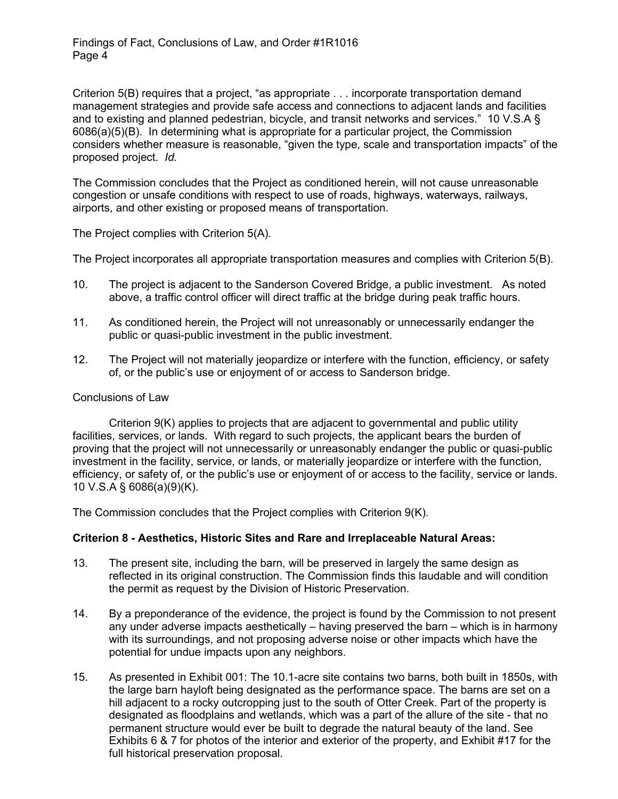Criterion 5(B) requires that a project, "as appropriate . . . incorporate transportation demand management strategies and provide safe access and connections to adjacent lands and facilities and to existing and planned pedestrian, bicycle, and transit networks and services." 10 V.S.A § 6086(a)(5)(B). In determining what is appropriate for a particular project, the Commission considers whether measure is reasonable, "given the type, scale and transportation impacts" of the proposed project. *Id.*

The Commission concludes that the Project as conditioned herein, will not cause unreasonable congestion or unsafe conditions with respect to use of roads, highways, waterways, railways, airports, and other existing or proposed means of transportation.

The Project complies with Criterion 5(A).

The Project incorporates all appropriate transportation measures and complies with Criterion 5(B).

- 10. The project is adjacent to the Sanderson Covered Bridge, a public investment. As noted above, a traffic control officer will direct traffic at the bridge during peak traffic hours.
- 11. As conditioned herein, the Project will not unreasonably or unnecessarily endanger the public or quasi-public investment in the public investment.
- 12. The Project will not materially jeopardize or interfere with the function, efficiency, or safety of, or the public's use or enjoyment of or access to Sanderson bridge.

## Conclusions of Law

Criterion 9(K) applies to projects that are adjacent to governmental and public utility facilities, services, or lands. With regard to such projects, the applicant bears the burden of proving that the project will not unnecessarily or unreasonably endanger the public or quasi-public investment in the facility, service, or lands, or materially jeopardize or interfere with the function, efficiency, or safety of, or the public's use or enjoyment of or access to the facility, service or lands. 10 V.S.A § 6086(a)(9)(K).

The Commission concludes that the Project complies with Criterion 9(K).

## **Criterion 8 - Aesthetics, Historic Sites and Rare and Irreplaceable Natural Areas:**

- 13. The present site, including the barn, will be preserved in largely the same design as reflected in its original construction. The Commission finds this laudable and will condition the permit as request by the Division of Historic Preservation.
- 14. By a preponderance of the evidence, the project is found by the Commission to not present any under adverse impacts aesthetically – having preserved the barn – which is in harmony with its surroundings, and not proposing adverse noise or other impacts which have the potential for undue impacts upon any neighbors.
- 15. As presented in Exhibit 001: The 10.1-acre site contains two barns, both built in 1850s, with the large barn hayloft being designated as the performance space. The barns are set on a hill adjacent to a rocky outcropping just to the south of Otter Creek. Part of the property is designated as floodplains and wetlands, which was a part of the allure of the site - that no permanent structure would ever be built to degrade the natural beauty of the land. See Exhibits 6 & 7 for photos of the interior and exterior of the property, and Exhibit #17 for the full historical preservation proposal.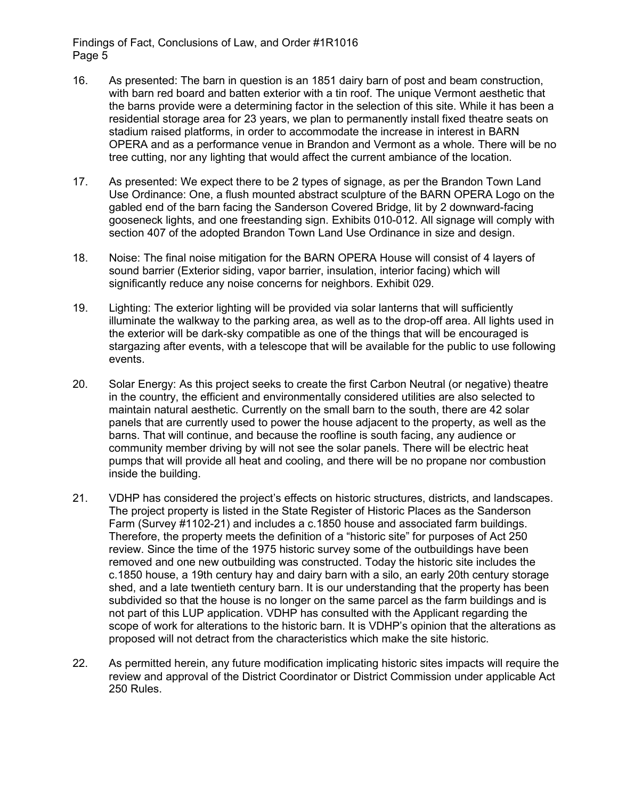- 16. As presented: The barn in question is an 1851 dairy barn of post and beam construction, with barn red board and batten exterior with a tin roof. The unique Vermont aesthetic that the barns provide were a determining factor in the selection of this site. While it has been a residential storage area for 23 years, we plan to permanently install fixed theatre seats on stadium raised platforms, in order to accommodate the increase in interest in BARN OPERA and as a performance venue in Brandon and Vermont as a whole. There will be no tree cutting, nor any lighting that would affect the current ambiance of the location.
- 17. As presented: We expect there to be 2 types of signage, as per the Brandon Town Land Use Ordinance: One, a flush mounted abstract sculpture of the BARN OPERA Logo on the gabled end of the barn facing the Sanderson Covered Bridge, lit by 2 downward-facing gooseneck lights, and one freestanding sign. Exhibits 010-012. All signage will comply with section 407 of the adopted Brandon Town Land Use Ordinance in size and design.
- 18. Noise: The final noise mitigation for the BARN OPERA House will consist of 4 layers of sound barrier (Exterior siding, vapor barrier, insulation, interior facing) which will significantly reduce any noise concerns for neighbors. Exhibit 029.
- 19. Lighting: The exterior lighting will be provided via solar lanterns that will sufficiently illuminate the walkway to the parking area, as well as to the drop-off area. All lights used in the exterior will be dark-sky compatible as one of the things that will be encouraged is stargazing after events, with a telescope that will be available for the public to use following events.
- 20. Solar Energy: As this project seeks to create the first Carbon Neutral (or negative) theatre in the country, the efficient and environmentally considered utilities are also selected to maintain natural aesthetic. Currently on the small barn to the south, there are 42 solar panels that are currently used to power the house adjacent to the property, as well as the barns. That will continue, and because the roofline is south facing, any audience or community member driving by will not see the solar panels. There will be electric heat pumps that will provide all heat and cooling, and there will be no propane nor combustion inside the building.
- 21. VDHP has considered the project's effects on historic structures, districts, and landscapes. The project property is listed in the State Register of Historic Places as the Sanderson Farm (Survey #1102-21) and includes a c.1850 house and associated farm buildings. Therefore, the property meets the definition of a "historic site" for purposes of Act 250 review. Since the time of the 1975 historic survey some of the outbuildings have been removed and one new outbuilding was constructed. Today the historic site includes the c.1850 house, a 19th century hay and dairy barn with a silo, an early 20th century storage shed, and a late twentieth century barn. It is our understanding that the property has been subdivided so that the house is no longer on the same parcel as the farm buildings and is not part of this LUP application. VDHP has consulted with the Applicant regarding the scope of work for alterations to the historic barn. It is VDHP's opinion that the alterations as proposed will not detract from the characteristics which make the site historic.
- 22. As permitted herein, any future modification implicating historic sites impacts will require the review and approval of the District Coordinator or District Commission under applicable Act 250 Rules.